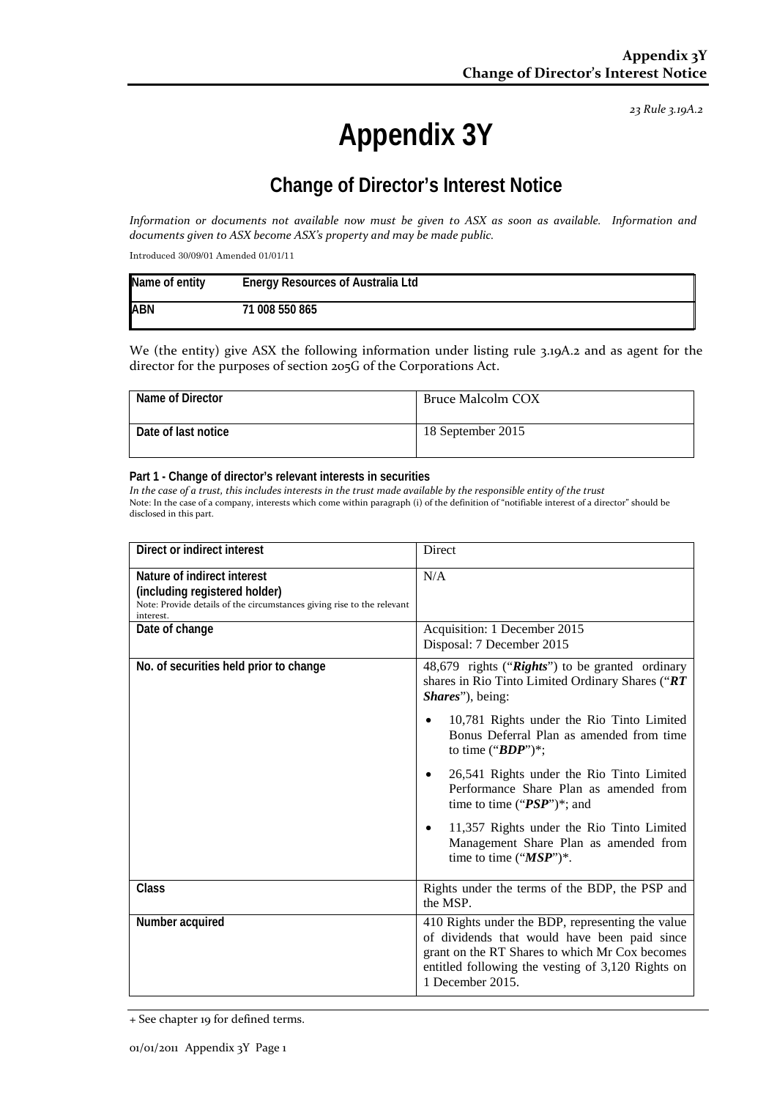*23 Rule 3.19A.2*

# **Appendix 3Y**

# **Change of Director's Interest Notice**

*Information or documents not available now must be given to ASX as soon as available. Information and documents given to ASX become ASX's property and may be made public.*

Introduced 30/09/01 Amended 01/01/11

| Name of entity | <b>Energy Resources of Australia Ltd</b> |
|----------------|------------------------------------------|
| <b>ABN</b>     | 71 008 550 865                           |

We (the entity) give ASX the following information under listing rule 3.19A.2 and as agent for the director for the purposes of section 205G of the Corporations Act.

| Name of Director    | Bruce Malcolm COX |
|---------------------|-------------------|
| Date of last notice | 18 September 2015 |

#### **Part 1 - Change of director's relevant interests in securities**

*In the case of a trust, this includes interests in the trust made available by the responsible entity of the trust* Note: In the case of a company, interests which come within paragraph (i) of the definition of "notifiable interest of a director" should be disclosed in this part.

| Direct or indirect interest                                                                                                                         | <b>Direct</b>                                                                                                                                                                                                               |
|-----------------------------------------------------------------------------------------------------------------------------------------------------|-----------------------------------------------------------------------------------------------------------------------------------------------------------------------------------------------------------------------------|
| Nature of indirect interest<br>(including registered holder)<br>Note: Provide details of the circumstances giving rise to the relevant<br>interest. | N/A                                                                                                                                                                                                                         |
| Date of change                                                                                                                                      | Acquisition: 1 December 2015<br>Disposal: 7 December 2015                                                                                                                                                                   |
| No. of securities held prior to change                                                                                                              | 48,679 rights ("Rights") to be granted ordinary<br>shares in Rio Tinto Limited Ordinary Shares ("RT<br><i>Shares</i> ", being:                                                                                              |
|                                                                                                                                                     | 10,781 Rights under the Rio Tinto Limited<br>Bonus Deferral Plan as amended from time<br>to time (" $BDP$ ")*;                                                                                                              |
|                                                                                                                                                     | 26,541 Rights under the Rio Tinto Limited<br>٠<br>Performance Share Plan as amended from<br>time to time (" $PSP$ ")*; and                                                                                                  |
|                                                                                                                                                     | 11,357 Rights under the Rio Tinto Limited<br>٠<br>Management Share Plan as amended from<br>time to time $("MSP")^*$ .                                                                                                       |
| Class                                                                                                                                               | Rights under the terms of the BDP, the PSP and<br>the MSP.                                                                                                                                                                  |
| Number acquired                                                                                                                                     | 410 Rights under the BDP, representing the value<br>of dividends that would have been paid since<br>grant on the RT Shares to which Mr Cox becomes<br>entitled following the vesting of 3,120 Rights on<br>1 December 2015. |

<sup>+</sup> See chapter 19 for defined terms.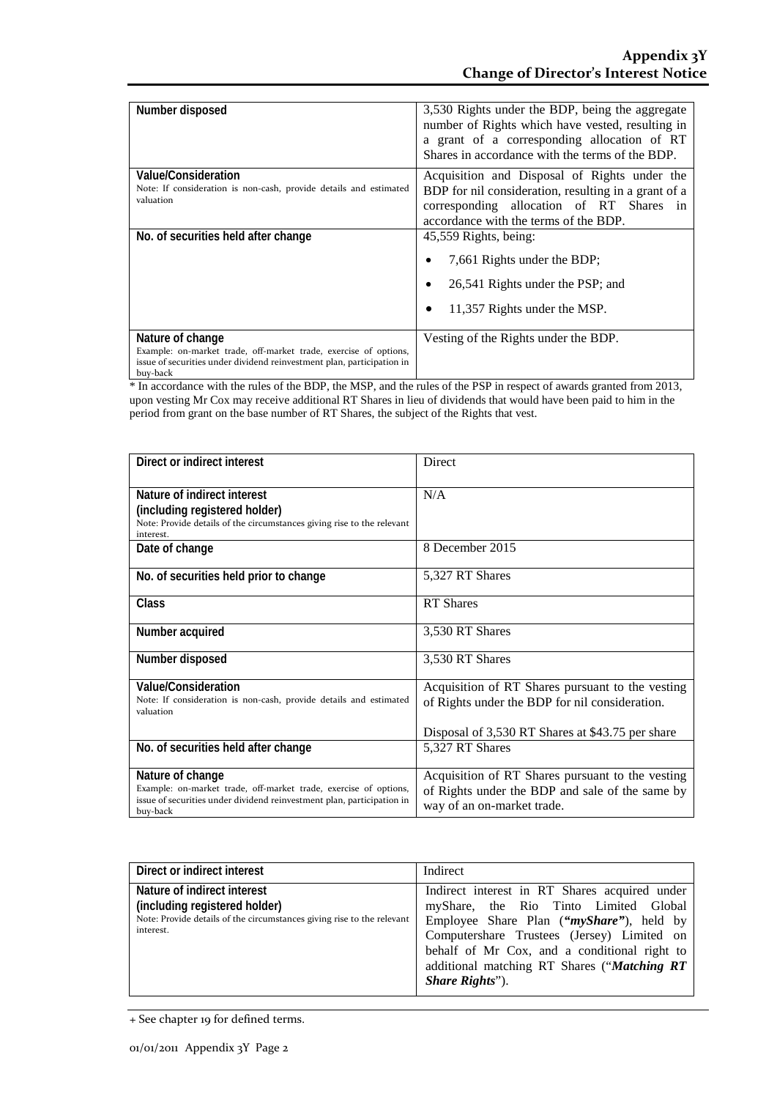| Number disposed                                                                                                                                                            | 3,530 Rights under the BDP, being the aggregate<br>number of Rights which have vested, resulting in<br>a grant of a corresponding allocation of RT<br>Shares in accordance with the terms of the BDP. |
|----------------------------------------------------------------------------------------------------------------------------------------------------------------------------|-------------------------------------------------------------------------------------------------------------------------------------------------------------------------------------------------------|
| <b>Value/Consideration</b><br>Note: If consideration is non-cash, provide details and estimated<br>valuation                                                               | Acquisition and Disposal of Rights under the<br>BDP for nil consideration, resulting in a grant of a<br>corresponding allocation of RT Shares in<br>accordance with the terms of the BDP.             |
| No. of securities held after change                                                                                                                                        | 45,559 Rights, being:<br>7,661 Rights under the BDP;<br>26,541 Rights under the PSP; and<br>11,357 Rights under the MSP.<br>٠                                                                         |
| Nature of change<br>Example: on-market trade, off-market trade, exercise of options,<br>issue of securities under dividend reinvestment plan, participation in<br>buy-back | Vesting of the Rights under the BDP.                                                                                                                                                                  |

\* In accordance with the rules of the BDP, the MSP, and the rules of the PSP in respect of awards granted from 2013, upon vesting Mr Cox may receive additional RT Shares in lieu of dividends that would have been paid to him in the period from grant on the base number of RT Shares, the subject of the Rights that vest.

| Direct or indirect interest                                                                                                                                                | <b>Direct</b>                                                                                                                                          |
|----------------------------------------------------------------------------------------------------------------------------------------------------------------------------|--------------------------------------------------------------------------------------------------------------------------------------------------------|
| Nature of indirect interest<br>(including registered holder)<br>Note: Provide details of the circumstances giving rise to the relevant<br>interest.                        | N/A                                                                                                                                                    |
| Date of change                                                                                                                                                             | 8 December 2015                                                                                                                                        |
| No. of securities held prior to change                                                                                                                                     | 5,327 RT Shares                                                                                                                                        |
| Class                                                                                                                                                                      | <b>RT</b> Shares                                                                                                                                       |
| Number acquired                                                                                                                                                            | 3,530 RT Shares                                                                                                                                        |
| Number disposed                                                                                                                                                            | 3,530 RT Shares                                                                                                                                        |
| Value/Consideration<br>Note: If consideration is non-cash, provide details and estimated<br>valuation                                                                      | Acquisition of RT Shares pursuant to the vesting<br>of Rights under the BDP for nil consideration.<br>Disposal of 3,530 RT Shares at \$43.75 per share |
| No. of securities held after change                                                                                                                                        | 5,327 RT Shares                                                                                                                                        |
| Nature of change<br>Example: on-market trade, off-market trade, exercise of options,<br>issue of securities under dividend reinvestment plan, participation in<br>buy-back | Acquisition of RT Shares pursuant to the vesting<br>of Rights under the BDP and sale of the same by<br>way of an on-market trade.                      |

| Direct or indirect interest                                                                                                                         | Indirect                                                                                                                                                                                                                                                                                                            |
|-----------------------------------------------------------------------------------------------------------------------------------------------------|---------------------------------------------------------------------------------------------------------------------------------------------------------------------------------------------------------------------------------------------------------------------------------------------------------------------|
| Nature of indirect interest<br>(including registered holder)<br>Note: Provide details of the circumstances giving rise to the relevant<br>interest. | Indirect interest in RT Shares acquired under<br>myShare, the Rio Tinto Limited Global<br>Employee Share Plan (" <i>myShare</i> "), held by<br>Computershare Trustees (Jersey) Limited on<br>behalf of Mr Cox, and a conditional right to<br>additional matching RT Shares ("Matching RT<br><i>Share Rights</i> "). |

<sup>+</sup> See chapter 19 for defined terms.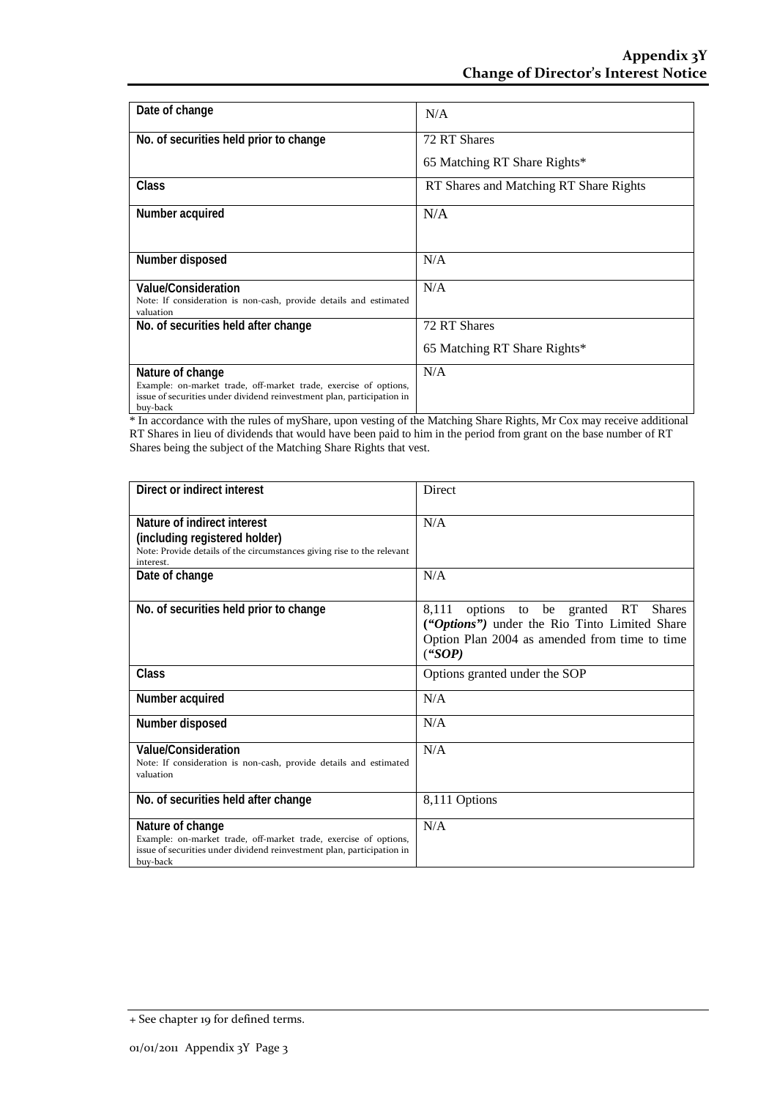| Date of change                                                                                                                                                             | N/A                                    |
|----------------------------------------------------------------------------------------------------------------------------------------------------------------------------|----------------------------------------|
| No. of securities held prior to change                                                                                                                                     | 72 RT Shares                           |
|                                                                                                                                                                            | 65 Matching RT Share Rights*           |
| Class                                                                                                                                                                      | RT Shares and Matching RT Share Rights |
| Number acquired                                                                                                                                                            | N/A                                    |
| Number disposed                                                                                                                                                            | N/A                                    |
| Value/Consideration<br>Note: If consideration is non-cash, provide details and estimated<br>valuation                                                                      | N/A                                    |
| No. of securities held after change                                                                                                                                        | 72 RT Shares                           |
|                                                                                                                                                                            | 65 Matching RT Share Rights*           |
| Nature of change<br>Example: on-market trade, off-market trade, exercise of options,<br>issue of securities under dividend reinvestment plan, participation in<br>buy-back | N/A                                    |

\* In accordance with the rules of myShare, upon vesting of the Matching Share Rights, Mr Cox may receive additional RT Shares in lieu of dividends that would have been paid to him in the period from grant on the base number of RT Shares being the subject of the Matching Share Rights that vest.

| Direct or indirect interest                                                                                                                                                | Direct                                                                                                                                               |
|----------------------------------------------------------------------------------------------------------------------------------------------------------------------------|------------------------------------------------------------------------------------------------------------------------------------------------------|
| Nature of indirect interest<br>(including registered holder)<br>Note: Provide details of the circumstances giving rise to the relevant<br>interest.                        | N/A                                                                                                                                                  |
| Date of change                                                                                                                                                             | N/A                                                                                                                                                  |
| No. of securities held prior to change                                                                                                                                     | 8,111 options to be granted RT Shares<br>("Options") under the Rio Tinto Limited Share<br>Option Plan 2004 as amended from time to time<br>$($ "SOP) |
| Class                                                                                                                                                                      | Options granted under the SOP                                                                                                                        |
| Number acquired                                                                                                                                                            | N/A                                                                                                                                                  |
| Number disposed                                                                                                                                                            | N/A                                                                                                                                                  |
| <b>Value/Consideration</b><br>Note: If consideration is non-cash, provide details and estimated<br>valuation                                                               | N/A                                                                                                                                                  |
| No. of securities held after change                                                                                                                                        | 8,111 Options                                                                                                                                        |
| Nature of change<br>Example: on-market trade, off-market trade, exercise of options,<br>issue of securities under dividend reinvestment plan, participation in<br>buy-back | N/A                                                                                                                                                  |

<sup>+</sup> See chapter 19 for defined terms.